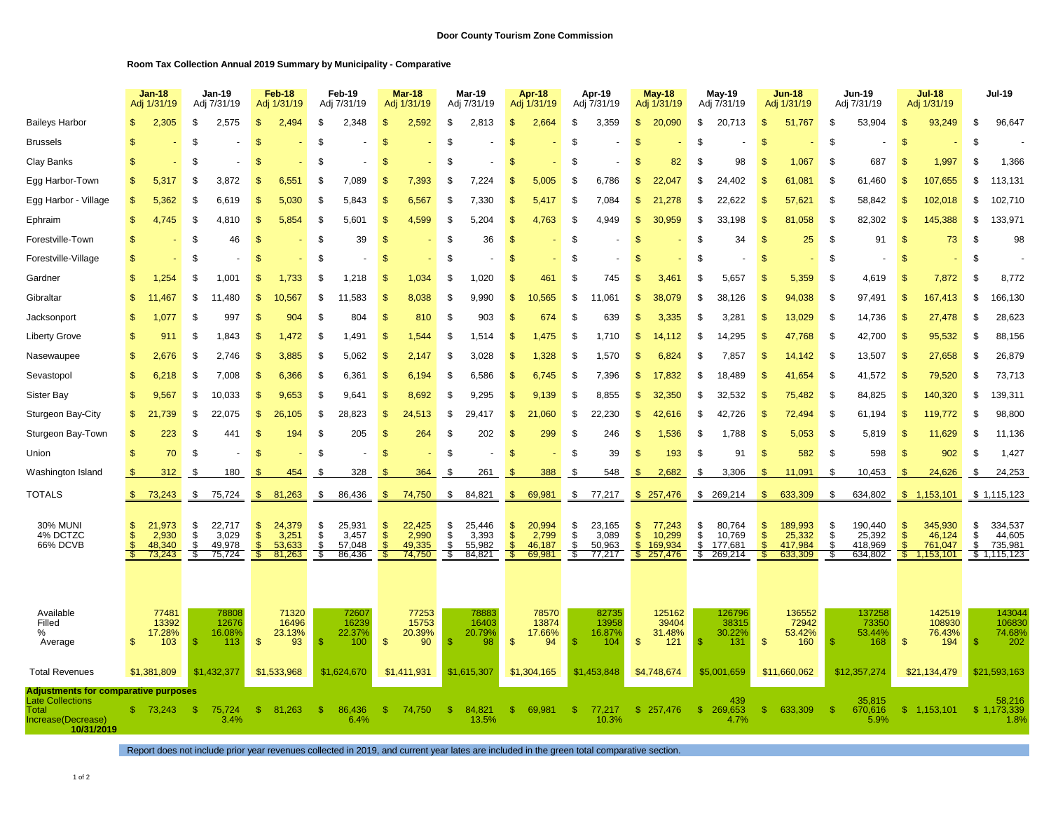## **Room Tax Collection Annual 2019 Summary by Municipality - Comparative**

|                                                                                                              |          | <b>Jan-18</b><br>Adj 1/31/19        |                  | $Jan-19$<br>Adj 7/31/19             |                                                        | Feb-18<br>Adj 1/31/19               |                     | Feb-19<br>Adj 7/31/19               |                               | $Mar-18$<br>Adj 1/31/19             |                       | Mar-19<br>Adj 7/31/19               |                                  | <b>Apr-18</b><br>Adj 1/31/19        |                     | Apr-19<br>Adj 7/31/19               |                                             | <b>May-18</b><br>Adj 1/31/19           |                     | Mav-19<br>Adj 7/31/19                  |                                | $Jun-18$<br>Adj 1/31/19                 |                       | <b>Jun-19</b><br>Adj 7/31/19            |                                 | <b>Jul-18</b><br>Adj 1/31/19              |                 | <b>Jul-19</b>                               |
|--------------------------------------------------------------------------------------------------------------|----------|-------------------------------------|------------------|-------------------------------------|--------------------------------------------------------|-------------------------------------|---------------------|-------------------------------------|-------------------------------|-------------------------------------|-----------------------|-------------------------------------|----------------------------------|-------------------------------------|---------------------|-------------------------------------|---------------------------------------------|----------------------------------------|---------------------|----------------------------------------|--------------------------------|-----------------------------------------|-----------------------|-----------------------------------------|---------------------------------|-------------------------------------------|-----------------|---------------------------------------------|
| <b>Baileys Harbor</b>                                                                                        |          | 2,305                               | -S               | 2,575                               | \$.                                                    | 2,494                               | S                   | 2,348                               | S                             | 2,592                               | \$.                   | 2,813                               | £.                               | 2,664                               | \$                  | 3,359                               | S                                           | 20,090                                 | \$.                 | 20,713                                 | \$                             | 51,767                                  | -S                    | 53,904                                  | \$                              | 93,249                                    | \$.             | 96,647                                      |
| <b>Brussels</b>                                                                                              | \$       |                                     | - \$             |                                     | \$                                                     |                                     | £.                  |                                     | \$.                           |                                     | ۹                     |                                     |                                  |                                     | \$.                 |                                     | £.                                          |                                        | S.                  |                                        | \$                             |                                         | <b>.s</b>             |                                         | 9.                              |                                           | \$.             |                                             |
| Clay Banks                                                                                                   |          |                                     | -S               |                                     | \$                                                     |                                     | S.                  |                                     | \$.                           |                                     | S.                    |                                     |                                  |                                     | \$.                 |                                     | £.                                          | 82                                     | S.                  | 98                                     | \$.                            | 1,067                                   | -S                    | 687                                     | \$.                             | 1,997                                     | S               | 1,366                                       |
| Egg Harbor-Town                                                                                              | \$       | 5,317                               | \$               | 3,872                               | $\mathbf{s}$                                           | 6,551                               | \$.                 | 7.089                               | \$.                           | 7,393                               | \$.                   | 7,224                               | \$.                              | 5.005                               | \$.                 | 6,786                               | \$                                          | 22<br>.047                             | \$.                 | 24,402                                 | $\mathbb{S}$                   | 61.081                                  | - \$                  | 61,460                                  | \$                              | 107,655                                   | \$.             | 113,131                                     |
| Egg Harbor - Village                                                                                         | \$       | 5,362                               | - 35             | 6,619                               | \$                                                     | 5,030                               | £.                  | 5,843                               | \$.                           | 6,567                               | £.                    | 7,330                               | \$.                              | 5,417                               | \$.                 | 7,084                               | \$.                                         | 2 <sub>1</sub><br>,278                 | \$                  | 22,622                                 | \$.                            | 57,621                                  | -S                    | 58,842                                  | \$.                             | 102,018                                   | \$.             | 102,710                                     |
| Ephraim                                                                                                      | \$       | 4,745                               | \$               | 4,810                               | \$                                                     | 5,854                               | S                   | 5,601                               | S                             | 4,599                               | \$.                   | 5,204                               | -SS                              | 4,763                               | \$                  | 4,949                               | \$.                                         | 30,959                                 | \$.                 | 33,198                                 | \$.                            | 81,058                                  | -S                    | 82,302                                  | \$.                             | 145,388                                   | \$              | 133,971                                     |
| Forestville-Town                                                                                             | S        |                                     | \$               | 46                                  | <b>S</b>                                               |                                     | S                   | 39                                  | S                             |                                     | £                     | 36                                  | S.                               |                                     | S                   |                                     | S                                           |                                        | \$                  | 34                                     | \$                             | 25                                      | -S                    | 91                                      | <b>S</b>                        | 73                                        | - \$            | 98                                          |
| Forestville-Village                                                                                          | £.       |                                     | \$               |                                     | <b>S</b>                                               |                                     | S.                  |                                     | S                             |                                     | S.                    |                                     | - \$                             |                                     | S                   |                                     | S                                           |                                        | \$                  |                                        | \$                             |                                         | \$                    |                                         | \$                              |                                           | - \$            |                                             |
| Gardner                                                                                                      | S        | 1,254                               | -S               | 1,001                               | \$                                                     | 1,733                               | S                   | 1,218                               | £.                            | 1,034                               | £.                    | 1,020                               |                                  | 461                                 | \$                  | 745                                 | \$                                          | 3,461                                  | ß.                  | 5,657                                  | \$                             | 5,359                                   | \$                    | 4,619                                   | \$                              | 7,872                                     | - \$            | 8,772                                       |
| Gibraltar                                                                                                    | \$       | 11.467                              | \$               | 11.480                              | \$                                                     | 10.567                              | \$                  | 11.583                              | \$.                           | 8,038                               | £.                    | 9.990                               | \$                               | 10.565                              | \$                  | 11.061                              | \$                                          | 38.079                                 | \$                  | 38,126                                 | \$.                            | 94,038                                  | \$                    | 97,491                                  | \$                              | 167,413                                   | -\$             | 66,130                                      |
| Jacksonport                                                                                                  | \$       | 1,077                               | \$               | 997                                 | \$                                                     | 904                                 | S                   | 804                                 | \$                            | 810                                 | \$                    | 903                                 | \$.                              | 674                                 | \$                  | 639                                 | \$.                                         | 3,335                                  | \$                  | 3,281                                  | $\mathfrak{s}$                 | 13,029                                  | \$                    | 14,736                                  | \$                              | 27,478                                    | -\$             | 28,623                                      |
| <b>Liberty Grove</b>                                                                                         | \$.      | 911                                 | \$               | 1.843                               | -\$                                                    | 1.472                               | \$                  | 1.491                               | \$.                           | 1.544                               | \$                    | 1,514                               | -\$                              | 1.475                               | \$                  | 1.710                               | \$                                          | 14,112                                 | \$                  | 14.295                                 | \$                             | 47.768                                  | -\$                   | 42,700                                  | -\$                             | 95,532                                    | \$              | 88,156                                      |
| Nasewaupee                                                                                                   | \$       | 2,676                               | \$               | 2,746                               | $\mathbf{\$}$                                          | 3,885                               | \$                  | 5,062                               | \$.                           | 2,147                               | £.                    | 3,028                               | \$                               | 1,328                               | \$                  | 1,570                               | \$                                          | 6,824                                  | \$                  | 7,857                                  | \$.                            | 14,142                                  | \$                    | 13,507                                  | $\mathbf{\$}$                   | 27,658                                    | -9              | 26,879                                      |
| Sevastopol                                                                                                   | \$       | 6,218                               | \$               | 7,008                               | S                                                      | 6,366                               | S                   | 6,361                               | S                             | 6,194                               | ۹.                    | 6,586                               | S                                | 6,745                               | \$                  | 7,396                               | S                                           | 17,832                                 | S                   | 18,489                                 | \$.                            | 41,654                                  | -\$                   | 41,572                                  | ி                               | 79,520                                    | \$              | 73,713                                      |
| Sister Bay                                                                                                   | S        | 9,567                               | \$               | 10,033                              | \$                                                     | 9,653                               | \$                  | 9,641                               | S                             | 8,692                               | £                     | 9,295                               | S                                | 9.<br>139                           | \$                  | 8,855                               | S                                           | 32,350                                 | S                   | 32,532                                 | \$.                            | 75,482                                  | - \$                  | 84,825                                  | S                               | 140,320                                   | - \$            | 139,311                                     |
| Sturgeon Bay-City                                                                                            | \$       | 21,739                              | -S               | 22,075                              | $\mathfrak{s}$                                         | 26.<br>105                          | S                   | 28,823                              | S                             | 24,513                              | \$.                   | 29.417                              | \$.                              | 21,060                              | \$                  | 22,230                              | S                                           | 42,616                                 | S                   | 42,726                                 | \$.                            | 72,494                                  | -S                    | 61,194                                  | \$.                             | 119,772                                   | - \$            | 98,800                                      |
| Sturgeon Bay-Town                                                                                            | \$       | 223                                 | \$               | 441                                 | \$                                                     | 194                                 | \$                  | 205                                 | \$                            | 264                                 | £                     | 202                                 | \$.                              | 299                                 | \$                  | 246                                 | \$                                          | 1,536                                  | \$                  | 1,788                                  | \$                             | 5,053                                   | \$                    | 5,819                                   | \$                              | 11,629                                    | S               | 11,136                                      |
| Union                                                                                                        | \$       | 70                                  | \$               |                                     | \$                                                     |                                     | \$                  |                                     | £.                            |                                     | \$                    |                                     | -\$                              |                                     | \$                  | 39                                  | S                                           | 193                                    | \$                  | 91                                     | -\$                            | 582                                     | \$                    | 598                                     | <b>S</b>                        | 902                                       | -\$             | 1,427                                       |
| Washington Island                                                                                            | -S       | 312                                 | - \$             | 180                                 | £.                                                     | 454                                 | \$                  | 328                                 | S                             | 364                                 | \$                    | 261                                 | -96                              | 388                                 | \$                  | 548                                 | -S                                          | 2,682                                  | \$                  | 3,306                                  | S.                             | 11,091                                  | \$                    | 10,453                                  | .S                              | 24,626                                    | \$              | 24,253                                      |
| <b>TOTALS</b>                                                                                                | -S       | 73,243                              | \$               | 75,724                              | \$                                                     | 81,263                              | \$                  | 86,436                              | - \$                          | 74,750                              | \$                    | 84,821                              | - \$                             | 69,981                              | \$                  | 77,217                              |                                             | \$257,476                              | \$                  | 269,214                                | S.                             | 633,309                                 | \$                    | 634,802                                 | $\mathfrak{S}$                  | 1,153,101                                 |                 | \$1,115,123                                 |
| <b>30% MUNI</b><br>4% DCTZC<br>66% DCVB                                                                      | S<br>\$. | 21,973<br>2,930<br>48,340<br>73.243 | \$<br>\$<br>- \$ | 22,717<br>3,029<br>49,978<br>75,724 | \$<br>$\mathfrak{S}$<br>$\overline{\mathcal{S}}$<br>S. | 24,379<br>3,251<br>53,633<br>81,263 | \$<br>\$<br>£.<br>S | 25,931<br>3,457<br>57,048<br>86,436 | \$<br>$\mathbf{s}$<br>£.<br>Æ | 22,425<br>2,990<br>49,335<br>74,750 | \$<br>\$<br>£.<br>\$. | 25,446<br>3,393<br>55,982<br>84,821 | \$<br>$\mathfrak{s}$<br>ி<br>-SS | 20,994<br>2,799<br>46,187<br>69,981 | \$<br>\$<br>\$<br>S | 23,165<br>3,089<br>50,963<br>77,217 | $\mathsf{\$}$<br>$\mathfrak{S}$<br>\$<br>s. | 77,243<br>10,299<br>169,934<br>257,476 | \$<br>\$<br>\$<br>S | 80,764<br>10,769<br>177,681<br>269,214 | \$<br>$\dot{\mathbb{S}}$<br>£. | 189,993<br>25,332<br>417,984<br>633.309 | -\$<br>\$<br>-S<br>£. | 190,440<br>25,392<br>418,969<br>634,802 | \$<br>$\mathbf{\$}$<br>\$<br>-S | 345,930<br>46,124<br>761,047<br>1,153,101 | \$<br>\$<br>\$. | 334,537<br>44,605<br>735,981<br>\$1,115,123 |
| Available<br>Filled<br>%<br>Average                                                                          | \$       | 77481<br>13392<br>17.28%<br>103     | -\$              | 78808<br>12676<br>16.08%<br>113     | $\mathbb{S}$                                           | 71320<br>16496<br>23.13%<br>93      | -\$                 | 72607<br>16239<br>22.37%<br>100     | $\mathbb{S}$                  | 77253<br>15753<br>20.39%<br>90      | -S                    | 78883<br>16403<br>20.79%<br>98      | $\mathbb{S}$                     | 78570<br>13874<br>17.66%<br>94      | \$.                 | 82735<br>13958<br>16.87%<br>104     | $\mathbf{\$}$                               | 125162<br>39404<br>31.48%<br>121       | -S                  | 126796<br>38315<br>30.22%<br>131       | $\mathbb{S}$                   | 136552<br>72942<br>53.42%<br>160        | -\$                   | 137258<br>73350<br>53.44%<br>168        | $\mathfrak{S}$                  | 142519<br>108930<br>76.43%<br>194         | -\$             | 143044<br>106830<br>74.68%<br>202           |
| <b>Total Revenues</b>                                                                                        |          | \$1,381,809                         |                  | \$1,432,377                         |                                                        | \$1,533,968                         |                     | \$1,624,670                         |                               | \$1,411,931                         |                       | \$1,615,307                         |                                  | \$1,304,165                         |                     | \$1,453,848                         |                                             | \$4,748,674                            |                     | \$5,001,659                            |                                | \$11,660,062                            |                       | \$12,357,274                            |                                 | \$21,134,479                              |                 | \$21,593,163                                |
| Adjustments for comparative purposes<br><b>Late Collections</b><br>Total<br>Increase(Decrease)<br>10/31/2019 | S        | 73,243                              | - 35             | 75,724<br>3.4%                      | <b>SS</b>                                              | 81.263                              | - \$                | 86,436<br>6.4%                      | S.                            | 74,750                              | $\mathbb{S}$          | 84,821<br>13.5%                     | <b>SS</b>                        | 69,981                              | $\mathcal{F}$       | 77,217<br>10.3%                     |                                             | \$257,476                              | S.                  | 269,653<br>4.7%                        | S                              | 633,309                                 | - 35                  | 35,815<br>670,616<br>5.9%               | S                               | 1,153,101                                 |                 | 58,216<br>\$1,173,339<br>1.8%               |

Report does not include prior year revenues collected in 2019, and current year lates are included in the green total comparative section.